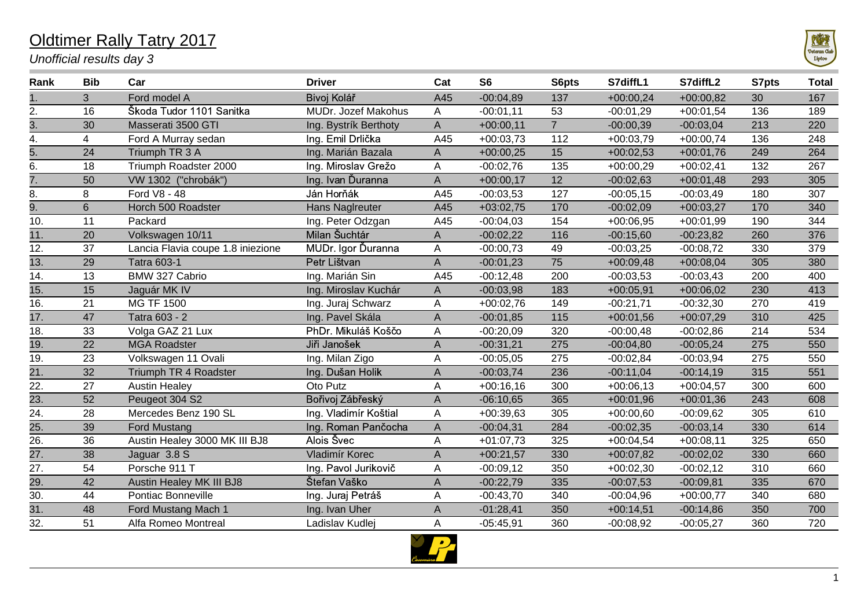## Oldtimer Rally Tatry 2017

*Unofficial results day 3*

| Rank              | <b>Bib</b>     | Car                               | <b>Driver</b>         | Cat         | S <sub>6</sub> | S6pts          | S7diffL1    | S7diffL2    | S7pts | <b>Total</b> |
|-------------------|----------------|-----------------------------------|-----------------------|-------------|----------------|----------------|-------------|-------------|-------|--------------|
|                   | 3              | Ford model A                      | Bivoj Kolář           | A45         | $-00:04,89$    | 137            | $+00:00,24$ | $+00:00.82$ | 30    | 167          |
| 2.                | 16             | Škoda Tudor 1101 Sanitka          | MUDr. Jozef Makohus   | Α           | $-00:01,11$    | 53             | $-00:01,29$ | $+00:01,54$ | 136   | 189          |
| $\overline{3}$ .  | 30             | Masserati 3500 GTI                | Ing. Bystrík Berthoty | A           | $+00:00,11$    | $\overline{7}$ | $-00:00,39$ | $-00:03,04$ | 213   | 220          |
| 4.                | 4              | Ford A Murray sedan               | Ing. Emil Drlička     | A45         | $+00:03,73$    | 112            | $+00:03,79$ | $+00:00,74$ | 136   | 248          |
| $\overline{5}$ .  | 24             | Triumph TR 3 A                    | Ing. Marián Bazala    | A           | $+00:00,25$    | 15             | $+00:02,53$ | $+00:01,76$ | 249   | 264          |
| 6.                | 18             | Triumph Roadster 2000             | Ing. Miroslav Grežo   | A           | $-00:02,76$    | 135            | $+00:00,29$ | $+00:02,41$ | 132   | 267          |
| 7.                | 50             | VW 1302 ("chrobák")               | Ing. Ivan Ďuranna     | A           | $+00:00,17$    | 12             | $-00:02,63$ | $+00:01,48$ | 293   | 305          |
| 8.                | 8              | Ford V8 - 48                      | Ján Horňák            | A45         | $-00:03,53$    | 127            | $-00:05,15$ | $-00:03,49$ | 180   | 307          |
| 9.                | $6\phantom{1}$ | Horch 500 Roadster                | Hans Naglreuter       | A45         | $+03:02,75$    | 170            | $-00:02,09$ | $+00:03,27$ | 170   | 340          |
| 10.               | 11             | Packard                           | Ing. Peter Odzgan     | A45         | $-00:04.03$    | 154            | $+00:06,95$ | $+00:01,99$ | 190   | 344          |
| 11.               | 20             | Volkswagen 10/11                  | Milan Šuchtár         | A           | $-00:02,22$    | 116            | $-00:15,60$ | $-00:23,82$ | 260   | 376          |
| 12.               | 37             | Lancia Flavia coupe 1.8 iniezione | MUDr. Igor Ďuranna    | А           | $-00:00,73$    | 49             | $-00:03,25$ | $-00:08,72$ | 330   | 379          |
| 13.               | 29             | <b>Tatra 603-1</b>                | Petr Lištvan          | A           | $-00:01,23$    | 75             | $+00:09,48$ | $+00:08,04$ | 305   | 380          |
| 14.               | 13             | BMW 327 Cabrio                    | Ing. Marián Sin       | A45         | $-00:12,48$    | 200            | $-00:03,53$ | $-00:03,43$ | 200   | 400          |
| 15.               | 15             | Jaguár MK IV                      | Ing. Miroslav Kuchár  | A           | $-00:03,98$    | 183            | $+00:05,91$ | $+00:06,02$ | 230   | 413          |
| 16.               | 21             | MG TF 1500                        | Ing. Juraj Schwarz    | A           | $+00:02,76$    | 149            | $-00:21,71$ | $-00:32,30$ | 270   | 419          |
| $\overline{17}$ . | 47             | Tatra 603 - 2                     | Ing. Pavel Skála      | A           | $-00:01,85$    | 115            | $+00:01,56$ | $+00:07,29$ | 310   | 425          |
| 18.               | 33             | Volga GAZ 21 Lux                  | PhDr. Mikuláš Koščo   | A           | $-00:20,09$    | 320            | $-00:00,48$ | $-00:02,86$ | 214   | 534          |
| $\overline{19.}$  | 22             | <b>MGA Roadster</b>               | Jiři Janošek          | A           | $-00:31,21$    | 275            | $-00:04,80$ | $-00:05,24$ | 275   | 550          |
| 19.               | 23             | Volkswagen 11 Ovali               | Ing. Milan Zigo       | А           | $-00:05,05$    | 275            | $-00:02,84$ | $-00:03,94$ | 275   | 550          |
| $\overline{21}$ . | 32             | Triumph TR 4 Roadster             | Ing. Dušan Holik      | A           | $-00:03,74$    | 236            | $-00:11,04$ | $-00:14,19$ | 315   | 551          |
| 22.               | 27             | <b>Austin Healey</b>              | Oto Putz              | A           | $+00:16,16$    | 300            | $+00:06,13$ | $+00:04,57$ | 300   | 600          |
| $\overline{23}$ . | 52             | Peugeot 304 S2                    | Bořivoj Zábřeský      | A           | $-06:10,65$    | 365            | $+00:01,96$ | $+00:01,36$ | 243   | 608          |
| $\overline{24}$ . | 28             | Mercedes Benz 190 SL              | Ing. Vladimír Koštial | А           | $+00:39,63$    | 305            | $+00:00,60$ | $-00:09,62$ | 305   | 610          |
| $\overline{25}$ . | 39             | Ford Mustang                      | Ing. Roman Pančocha   | $\mathsf A$ | $-00:04,31$    | 284            | $-00:02,35$ | $-00:03,14$ | 330   | 614          |
| $\overline{26}$   | 36             | Austin Healey 3000 MK III BJ8     | Alois Švec            | A           | $+01:07,73$    | 325            | $+00:04,54$ | $+00:08,11$ | 325   | 650          |
| $\overline{27}$ . | 38             | Jaguar 3.8 S                      | Vladimír Korec        | A           | $+00:21,57$    | 330            | $+00:07,82$ | $-00:02,02$ | 330   | 660          |
| 27.               | 54             | Porsche 911 T                     | Ing. Pavol Jurikovič  | A           | $-00:09,12$    | 350            | $+00:02,30$ | $-00:02,12$ | 310   | 660          |
| 29.               | 42             | Austin Healey MK III BJ8          | Štefan Vaško          | $\mathsf A$ | $-00:22,79$    | 335            | $-00:07,53$ | $-00:09,81$ | 335   | 670          |
| 30.               | 44             | Pontiac Bonneville                | Ing. Juraj Petráš     | Α           | $-00:43,70$    | 340            | $-00:04,96$ | $+00:00,77$ | 340   | 680          |
| $\overline{31}$ . | 48             | Ford Mustang Mach 1               | Ing. Ivan Uher        | A           | $-01:28,41$    | 350            | $+00:14,51$ | $-00:14,86$ | 350   | 700          |
| 32.               | 51             | Alfa Romeo Montreal               | Ladislav Kudlej       | Α           | $-05:45,91$    | 360            | $-00:08,92$ | $-00:05,27$ | 360   | 720          |